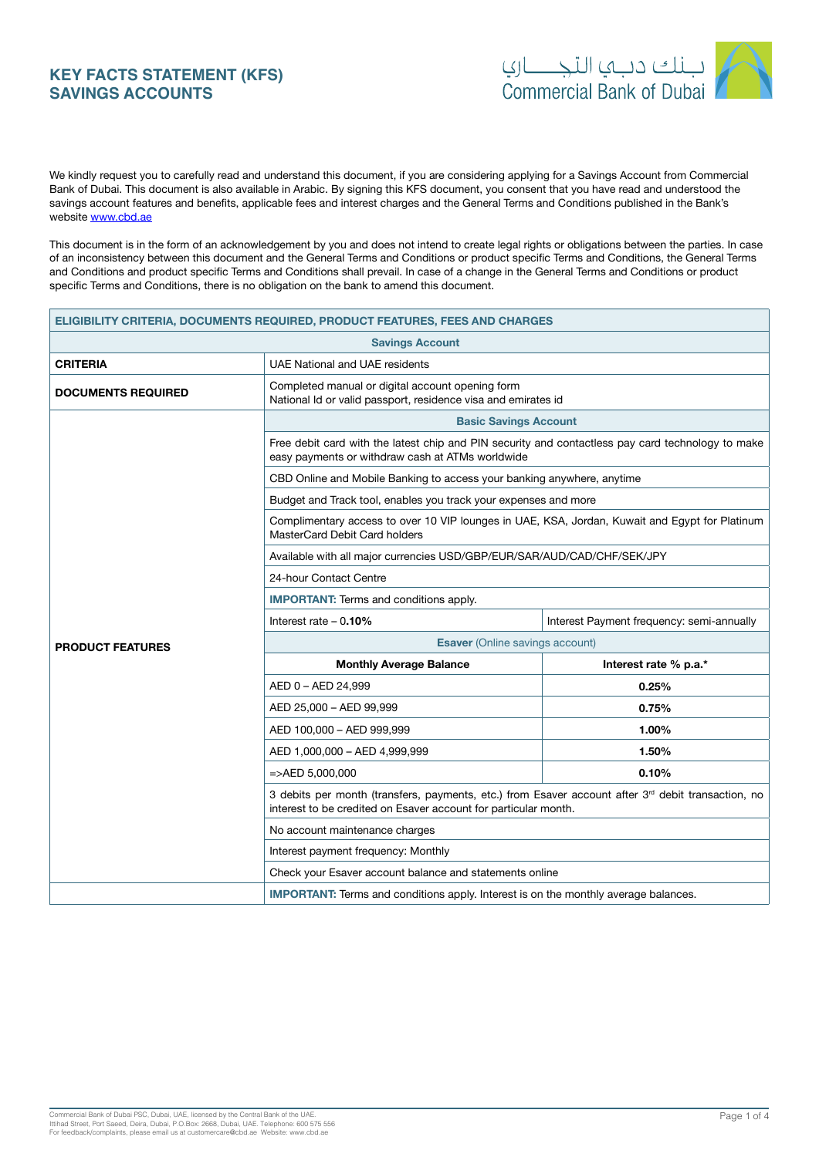# **KEY FACTS STATEMENT (KFS) SAVINGS ACCOUNTS**



We kindly request you to carefully read and understand this document, if you are considering applying for a Savings Account from Commercial Bank of Dubai. This document is also available in Arabic. By signing this KFS document, you consent that you have read and understood the savings account features and benefits, applicable fees and interest charges and the General Terms and Conditions published in the Bank's website www.cbd.ae

This document is in the form of an acknowledgement by you and does not intend to create legal rights or obligations between the parties. In case of an inconsistency between this document and the General Terms and Conditions or product specific Terms and Conditions, the General Terms and Conditions and product specific Terms and Conditions shall prevail. In case of a change in the General Terms and Conditions or product specific Terms and Conditions, there is no obligation on the bank to amend this document.

| <b>ELIGIBILITY CRITERIA, DOCUMENTS REQUIRED, PRODUCT FEATURES, FEES AND CHARGES</b> |                                                                                                                                                                         |                       |  |
|-------------------------------------------------------------------------------------|-------------------------------------------------------------------------------------------------------------------------------------------------------------------------|-----------------------|--|
| <b>Savings Account</b>                                                              |                                                                                                                                                                         |                       |  |
| <b>CRITERIA</b>                                                                     | UAE National and UAE residents                                                                                                                                          |                       |  |
| <b>DOCUMENTS REQUIRED</b>                                                           | Completed manual or digital account opening form<br>National Id or valid passport, residence visa and emirates id                                                       |                       |  |
|                                                                                     | <b>Basic Savings Account</b>                                                                                                                                            |                       |  |
|                                                                                     | Free debit card with the latest chip and PIN security and contactless pay card technology to make<br>easy payments or withdraw cash at ATMs worldwide                   |                       |  |
|                                                                                     | CBD Online and Mobile Banking to access your banking anywhere, anytime                                                                                                  |                       |  |
|                                                                                     | Budget and Track tool, enables you track your expenses and more                                                                                                         |                       |  |
|                                                                                     | Complimentary access to over 10 VIP lounges in UAE, KSA, Jordan, Kuwait and Egypt for Platinum<br>MasterCard Debit Card holders                                         |                       |  |
|                                                                                     | Available with all major currencies USD/GBP/EUR/SAR/AUD/CAD/CHF/SEK/JPY                                                                                                 |                       |  |
|                                                                                     | 24-hour Contact Centre                                                                                                                                                  |                       |  |
|                                                                                     | <b>IMPORTANT:</b> Terms and conditions apply.                                                                                                                           |                       |  |
|                                                                                     | Interest rate $-0.10%$<br>Interest Payment frequency: semi-annually                                                                                                     |                       |  |
| <b>PRODUCT FEATURES</b>                                                             | <b>Esaver</b> (Online savings account)                                                                                                                                  |                       |  |
|                                                                                     | <b>Monthly Average Balance</b>                                                                                                                                          | Interest rate % p.a.* |  |
|                                                                                     | AED 0 - AED 24,999                                                                                                                                                      | 0.25%                 |  |
|                                                                                     | AED 25,000 - AED 99,999                                                                                                                                                 | 0.75%                 |  |
|                                                                                     | AED 100,000 - AED 999,999                                                                                                                                               | 1.00%                 |  |
|                                                                                     | AED 1,000,000 - AED 4,999,999                                                                                                                                           | 1.50%                 |  |
|                                                                                     | $=$ >AED 5.000.000                                                                                                                                                      | 0.10%                 |  |
|                                                                                     | 3 debits per month (transfers, payments, etc.) from Esaver account after $3rd$ debit transaction, no<br>interest to be credited on Esaver account for particular month. |                       |  |
|                                                                                     | No account maintenance charges                                                                                                                                          |                       |  |
|                                                                                     | Interest payment frequency: Monthly                                                                                                                                     |                       |  |
|                                                                                     | Check your Esaver account balance and statements online                                                                                                                 |                       |  |
|                                                                                     | <b>IMPORTANT:</b> Terms and conditions apply. Interest is on the monthly average balances.                                                                              |                       |  |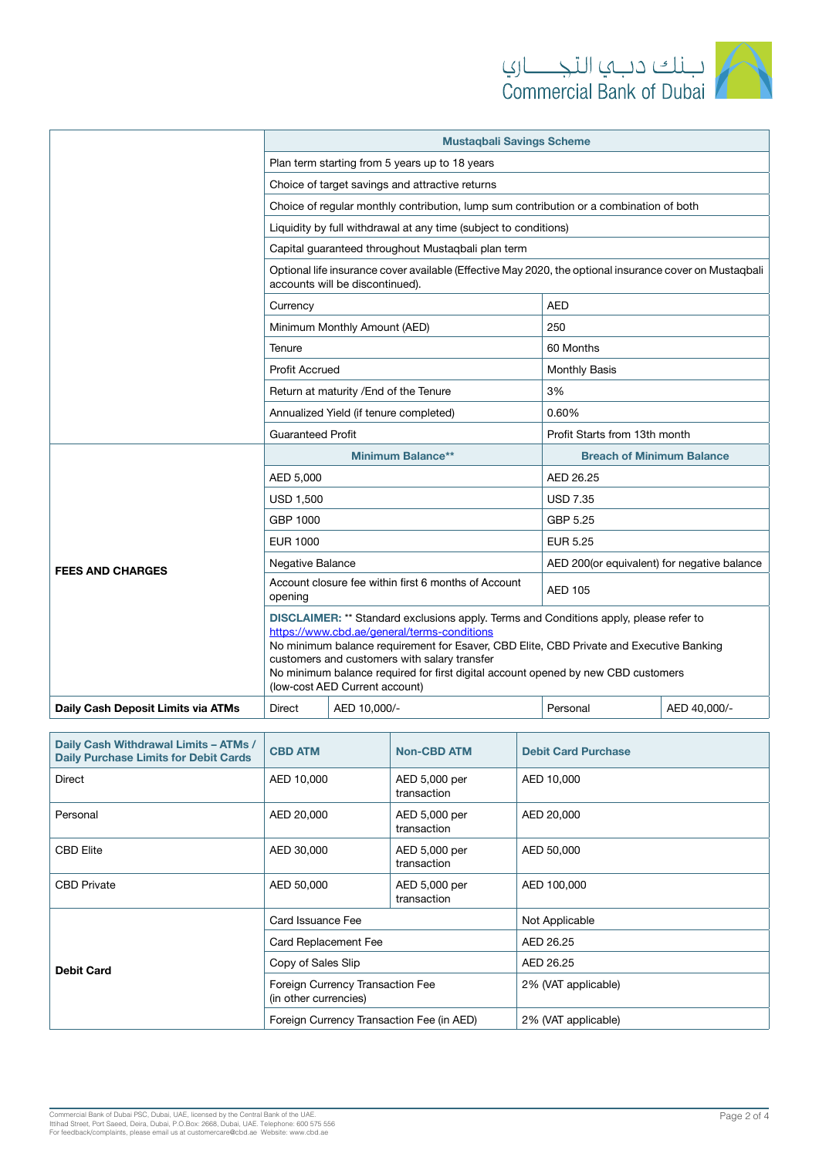

|                                    | <b>Mustaqbali Savings Scheme</b>                                                                                                                                                                                                                                                                                                                                                                       |                                                                                        |                                             |              |  |
|------------------------------------|--------------------------------------------------------------------------------------------------------------------------------------------------------------------------------------------------------------------------------------------------------------------------------------------------------------------------------------------------------------------------------------------------------|----------------------------------------------------------------------------------------|---------------------------------------------|--------------|--|
|                                    | Plan term starting from 5 years up to 18 years                                                                                                                                                                                                                                                                                                                                                         |                                                                                        |                                             |              |  |
|                                    | Choice of target savings and attractive returns                                                                                                                                                                                                                                                                                                                                                        |                                                                                        |                                             |              |  |
|                                    |                                                                                                                                                                                                                                                                                                                                                                                                        | Choice of regular monthly contribution, lump sum contribution or a combination of both |                                             |              |  |
|                                    |                                                                                                                                                                                                                                                                                                                                                                                                        | Liquidity by full withdrawal at any time (subject to conditions)                       |                                             |              |  |
|                                    | Capital guaranteed throughout Mustaqbali plan term                                                                                                                                                                                                                                                                                                                                                     |                                                                                        |                                             |              |  |
|                                    | Optional life insurance cover available (Effective May 2020, the optional insurance cover on Mustaqbali<br>accounts will be discontinued).                                                                                                                                                                                                                                                             |                                                                                        |                                             |              |  |
|                                    | Currency                                                                                                                                                                                                                                                                                                                                                                                               |                                                                                        | AED                                         |              |  |
|                                    |                                                                                                                                                                                                                                                                                                                                                                                                        | Minimum Monthly Amount (AED)                                                           | 250                                         |              |  |
|                                    | 60 Months<br>Tenure                                                                                                                                                                                                                                                                                                                                                                                    |                                                                                        |                                             |              |  |
|                                    | <b>Profit Accrued</b>                                                                                                                                                                                                                                                                                                                                                                                  |                                                                                        | Monthly Basis                               |              |  |
|                                    | Return at maturity / End of the Tenure                                                                                                                                                                                                                                                                                                                                                                 |                                                                                        | 3%                                          |              |  |
|                                    |                                                                                                                                                                                                                                                                                                                                                                                                        | Annualized Yield (if tenure completed)                                                 | 0.60%                                       |              |  |
|                                    | <b>Guaranteed Profit</b>                                                                                                                                                                                                                                                                                                                                                                               |                                                                                        | Profit Starts from 13th month               |              |  |
|                                    | <b>Minimum Balance**</b>                                                                                                                                                                                                                                                                                                                                                                               |                                                                                        | <b>Breach of Minimum Balance</b>            |              |  |
|                                    | AED 5,000                                                                                                                                                                                                                                                                                                                                                                                              |                                                                                        | AED 26.25                                   |              |  |
|                                    | <b>USD 1,500</b>                                                                                                                                                                                                                                                                                                                                                                                       |                                                                                        | <b>USD 7.35</b>                             |              |  |
| <b>FEES AND CHARGES</b>            | GBP 1000                                                                                                                                                                                                                                                                                                                                                                                               |                                                                                        | GBP 5.25                                    |              |  |
|                                    | <b>EUR 1000</b>                                                                                                                                                                                                                                                                                                                                                                                        |                                                                                        | <b>EUR 5.25</b>                             |              |  |
|                                    | Negative Balance                                                                                                                                                                                                                                                                                                                                                                                       |                                                                                        | AED 200(or equivalent) for negative balance |              |  |
|                                    | Account closure fee within first 6 months of Account<br>opening                                                                                                                                                                                                                                                                                                                                        |                                                                                        | <b>AED 105</b>                              |              |  |
|                                    | DISCLAIMER: ** Standard exclusions apply. Terms and Conditions apply, please refer to<br>https://www.cbd.ae/general/terms-conditions<br>No minimum balance requirement for Esaver, CBD Elite, CBD Private and Executive Banking<br>customers and customers with salary transfer<br>No minimum balance required for first digital account opened by new CBD customers<br>(low-cost AED Current account) |                                                                                        |                                             |              |  |
| Daily Cash Deposit Limits via ATMs | Direct                                                                                                                                                                                                                                                                                                                                                                                                 | AED 10,000/-                                                                           | Personal                                    | AED 40,000/- |  |

| Daily Cash Withdrawal Limits - ATMs /<br><b>Daily Purchase Limits for Debit Cards</b> | <b>CBD ATM</b>                                            | <b>Non-CBD ATM</b>           | <b>Debit Card Purchase</b> |
|---------------------------------------------------------------------------------------|-----------------------------------------------------------|------------------------------|----------------------------|
| Direct                                                                                | AED 10,000                                                | AED 5,000 per<br>transaction | AED 10,000                 |
| Personal                                                                              | AED 20,000                                                | AED 5,000 per<br>transaction | AED 20,000                 |
| <b>CBD Elite</b>                                                                      | AED 30,000                                                | AED 5,000 per<br>transaction | AED 50,000                 |
| <b>CBD Private</b>                                                                    | AED 50,000                                                | AED 5,000 per<br>transaction | AED 100,000                |
| <b>Debit Card</b>                                                                     | Card Issuance Fee                                         |                              | Not Applicable             |
|                                                                                       | Card Replacement Fee                                      |                              | AED 26.25                  |
|                                                                                       | Copy of Sales Slip                                        |                              | AED 26.25                  |
|                                                                                       | Foreign Currency Transaction Fee<br>(in other currencies) |                              | 2% (VAT applicable)        |
|                                                                                       | Foreign Currency Transaction Fee (in AED)                 |                              | 2% (VAT applicable)        |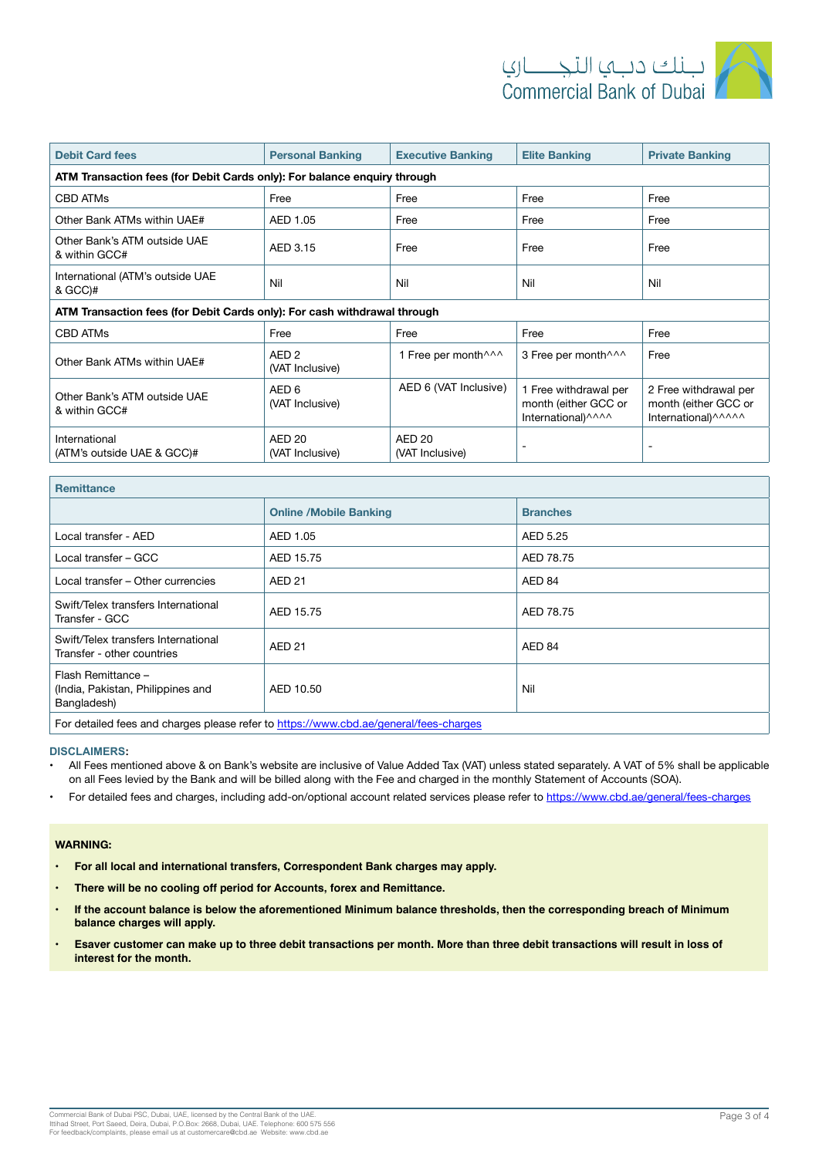

| <b>Debit Card fees</b>                                                   | <b>Personal Banking</b>              | <b>Executive Banking</b>                                    | <b>Elite Banking</b>                                                | <b>Private Banking</b>                                                |
|--------------------------------------------------------------------------|--------------------------------------|-------------------------------------------------------------|---------------------------------------------------------------------|-----------------------------------------------------------------------|
| ATM Transaction fees (for Debit Cards only): For balance enquiry through |                                      |                                                             |                                                                     |                                                                       |
| <b>CBD ATMs</b>                                                          | Free                                 | Free                                                        | Free                                                                | Free                                                                  |
| Other Bank ATMs within UAE#                                              | AED 1.05                             | Free                                                        | Free                                                                | Free                                                                  |
| Other Bank's ATM outside UAE<br>& within GCC#                            | AED 3.15                             | Free                                                        | Free                                                                | Free                                                                  |
| International (ATM's outside UAE<br>& GCC)#                              | Nil                                  | Nil                                                         | Nil                                                                 | Nil                                                                   |
| ATM Transaction fees (for Debit Cards only): For cash withdrawal through |                                      |                                                             |                                                                     |                                                                       |
| <b>CBD ATMs</b>                                                          | Free                                 | Free                                                        | Free                                                                | Free                                                                  |
| Other Bank ATMs within UAE#                                              | AED <sub>2</sub><br>(VAT Inclusive)  | 1 Free per month <sup><math>\wedge\wedge\wedge</math></sup> | 3 Free per month <sup>11</sup>                                      | Free                                                                  |
| Other Bank's ATM outside UAE<br>& within GCC#                            | AED <sub>6</sub><br>(VAT Inclusive)  | AED 6 (VAT Inclusive)                                       | 1 Free withdrawal per<br>month (either GCC or<br>International)^^^^ | 2 Free withdrawal per<br>month (either GCC or<br>International)^^^^^^ |
| International<br>(ATM's outside UAE & GCC)#                              | AED <sub>20</sub><br>(VAT Inclusive) | AED 20<br>(VAT Inclusive)                                   |                                                                     | ۰                                                                     |

| <b>Remittance</b>                                                      |                               |                 |
|------------------------------------------------------------------------|-------------------------------|-----------------|
|                                                                        | <b>Online /Mobile Banking</b> | <b>Branches</b> |
| Local transfer - AED                                                   | AED 1.05                      | AED 5.25        |
| Local transfer - GCC                                                   | AED 15.75                     | AED 78.75       |
| Local transfer - Other currencies                                      | <b>AED 21</b>                 | AED 84          |
| Swift/Telex transfers International<br>Transfer - GCC                  | AED 15.75                     | AED 78.75       |
| Swift/Telex transfers International<br>Transfer - other countries      | <b>AED 21</b>                 | AED 84          |
| Flash Remittance -<br>(India, Pakistan, Philippines and<br>Bangladesh) | AED 10.50                     | Nil             |
|                                                                        |                               |                 |

For detailed fees and charges please refer to https://www.cbd.ae/general/fees-charges

## **:DISCLAIMERS**

- All Fees mentioned above & on Bank's website are inclusive of Value Added Tax (VAT) unless stated separately. A VAT of 5% shall be applicable on all Fees levied by the Bank and will be billed along with the Fee and charged in the monthly Statement of Accounts (SOA).
- For detailed fees and charges, including add-on/optional account related services please refer to https://www.cbd.ae/general/fees-charges

#### **:WARNING**

- **For all local and international transfers, Correspondent Bank charges may apply.**
- **fight There will be no cooling off period for Accounts, forex and Remittance.**
- If the account balance is below the aforementioned Minimum balance thresholds, then the corresponding breach of Minimum **balance charges will apply.**
- Esaver customer can make up to three debit transactions per month. More than three debit transactions will result in loss of interest for the month.